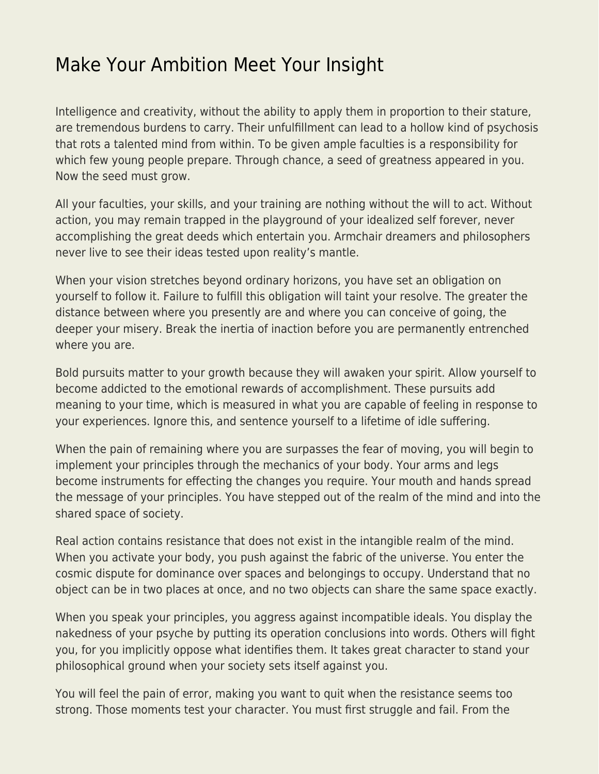## [Make Your Ambition Meet Your Insight](https://everything-voluntary.com/make-ambition-meet-insight)

Intelligence and creativity, without the ability to apply them in proportion to their stature, are tremendous burdens to carry. Their unfulfillment can lead to a hollow kind of psychosis that rots a talented mind from within. To be given ample faculties is a responsibility for which few young people prepare. Through chance, a seed of greatness appeared in you. Now the seed must grow.

All your faculties, your skills, and your training are nothing without the will to act. Without action, you may remain trapped in the playground of your idealized self forever, never accomplishing the great deeds which entertain you. Armchair dreamers and philosophers never live to see their ideas tested upon reality's mantle.

When your vision stretches beyond ordinary horizons, you have set an obligation on yourself to follow it. Failure to fulfill this obligation will taint your resolve. The greater the distance between where you presently are and where you can conceive of going, the deeper your misery. Break the inertia of inaction before you are permanently entrenched where you are.

Bold pursuits matter to your growth because they will awaken your spirit. Allow yourself to become addicted to the emotional rewards of accomplishment. These pursuits add meaning to your time, which is measured in what you are capable of feeling in response to your experiences. Ignore this, and sentence yourself to a lifetime of idle suffering.

When the pain of remaining where you are surpasses the fear of moving, you will begin to implement your principles through the mechanics of your body. Your arms and legs become instruments for effecting the changes you require. Your mouth and hands spread the message of your principles. You have stepped out of the realm of the mind and into the shared space of society.

Real action contains resistance that does not exist in the intangible realm of the mind. When you activate your body, you push against the fabric of the universe. You enter the cosmic dispute for dominance over spaces and belongings to occupy. Understand that no object can be in two places at once, and no two objects can share the same space exactly.

When you speak your principles, you aggress against incompatible ideals. You display the nakedness of your psyche by putting its operation conclusions into words. Others will fight you, for you implicitly oppose what identifies them. It takes great character to stand your philosophical ground when your society sets itself against you.

You will feel the pain of error, making you want to quit when the resistance seems too strong. Those moments test your character. You must first struggle and fail. From the